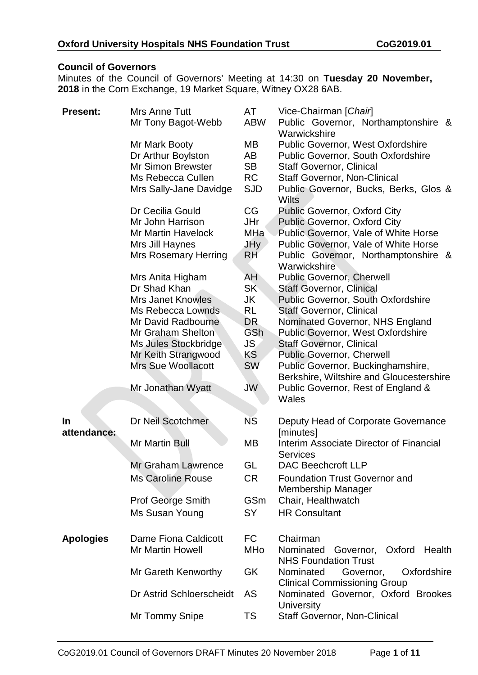### **Council of Governors**

Minutes of the Council of Governors' Meeting at 14:30 on **Tuesday 20 November, 2018** in the Corn Exchange, 19 Market Square, Witney OX28 6AB.

| <b>Present:</b>  | Mrs Anne Tutt<br>Mr Tony Bagot-Webb                                                                                                                                                                                           | AT<br><b>ABW</b>                                                                        | Vice-Chairman [Chair]<br>Public Governor, Northamptonshire &<br>Warwickshire                                                                                                                                                                                                                                                                                                                                                              |
|------------------|-------------------------------------------------------------------------------------------------------------------------------------------------------------------------------------------------------------------------------|-----------------------------------------------------------------------------------------|-------------------------------------------------------------------------------------------------------------------------------------------------------------------------------------------------------------------------------------------------------------------------------------------------------------------------------------------------------------------------------------------------------------------------------------------|
|                  | Mr Mark Booty<br>Dr Arthur Boylston<br>Mr Simon Brewster<br>Ms Rebecca Cullen<br>Mrs Sally-Jane Davidge                                                                                                                       | MВ<br>AB<br><b>SB</b><br><b>RC</b><br><b>SJD</b>                                        | Public Governor, West Oxfordshire<br>Public Governor, South Oxfordshire<br><b>Staff Governor, Clinical</b><br><b>Staff Governor, Non-Clinical</b><br>Public Governor, Bucks, Berks, Glos &<br>Wilts                                                                                                                                                                                                                                       |
|                  | Dr Cecilia Gould<br>Mr John Harrison<br><b>Mr Martin Havelock</b><br>Mrs Jill Haynes<br><b>Mrs Rosemary Herring</b>                                                                                                           | CG<br>JHr<br>MHa<br>JHy<br><b>RH</b>                                                    | Public Governor, Oxford City<br>Public Governor, Oxford City<br>Public Governor, Vale of White Horse<br>Public Governor, Vale of White Horse<br>Public Governor, Northamptonshire &<br>Warwickshire                                                                                                                                                                                                                                       |
|                  | Mrs Anita Higham<br>Dr Shad Khan<br><b>Mrs Janet Knowles</b><br>Ms Rebecca Lownds<br>Mr David Radbourne<br>Mr Graham Shelton<br>Ms Jules Stockbridge<br>Mr Keith Strangwood<br><b>Mrs Sue Woollacott</b><br>Mr Jonathan Wyatt | <b>AH</b><br>SK<br>JK<br><b>RL</b><br>DR.<br><b>GSh</b><br>JS.<br>KS<br><b>SW</b><br>JW | <b>Public Governor, Cherwell</b><br><b>Staff Governor, Clinical</b><br><b>Public Governor, South Oxfordshire</b><br><b>Staff Governor, Clinical</b><br>Nominated Governor, NHS England<br><b>Public Governor, West Oxfordshire</b><br><b>Staff Governor, Clinical</b><br><b>Public Governor, Cherwell</b><br>Public Governor, Buckinghamshire,<br>Berkshire, Wiltshire and Gloucestershire<br>Public Governor, Rest of England &<br>Wales |
| <b>In</b>        | Dr Neil Scotchmer                                                                                                                                                                                                             | <b>NS</b>                                                                               | Deputy Head of Corporate Governance                                                                                                                                                                                                                                                                                                                                                                                                       |
| attendance:      | <b>Mr Martin Bull</b>                                                                                                                                                                                                         | MB                                                                                      | [minutes]<br>Interim Associate Director of Financial<br><b>Services</b>                                                                                                                                                                                                                                                                                                                                                                   |
|                  | Mr Graham Lawrence                                                                                                                                                                                                            | GL                                                                                      | <b>DAC Beechcroft LLP</b>                                                                                                                                                                                                                                                                                                                                                                                                                 |
|                  | <b>Ms Caroline Rouse</b>                                                                                                                                                                                                      | <b>CR</b>                                                                               | <b>Foundation Trust Governor and</b><br><b>Membership Manager</b>                                                                                                                                                                                                                                                                                                                                                                         |
|                  | <b>Prof George Smith</b><br>Ms Susan Young                                                                                                                                                                                    | <b>GSm</b><br><b>SY</b>                                                                 | Chair, Healthwatch<br><b>HR Consultant</b>                                                                                                                                                                                                                                                                                                                                                                                                |
| <b>Apologies</b> | Dame Fiona Caldicott<br><b>Mr Martin Howell</b>                                                                                                                                                                               | <b>FC</b><br><b>MHo</b>                                                                 | Chairman<br>Nominated<br>Oxford<br>Governor,<br>Health<br><b>NHS Foundation Trust</b>                                                                                                                                                                                                                                                                                                                                                     |
|                  | Mr Gareth Kenworthy                                                                                                                                                                                                           | <b>GK</b>                                                                               | Nominated<br>Oxfordshire<br>Governor,                                                                                                                                                                                                                                                                                                                                                                                                     |
|                  | Dr Astrid Schloerscheidt                                                                                                                                                                                                      | AS                                                                                      | <b>Clinical Commissioning Group</b><br>Nominated Governor, Oxford Brookes<br><b>University</b>                                                                                                                                                                                                                                                                                                                                            |
|                  | Mr Tommy Snipe                                                                                                                                                                                                                | <b>TS</b>                                                                               | <b>Staff Governor, Non-Clinical</b>                                                                                                                                                                                                                                                                                                                                                                                                       |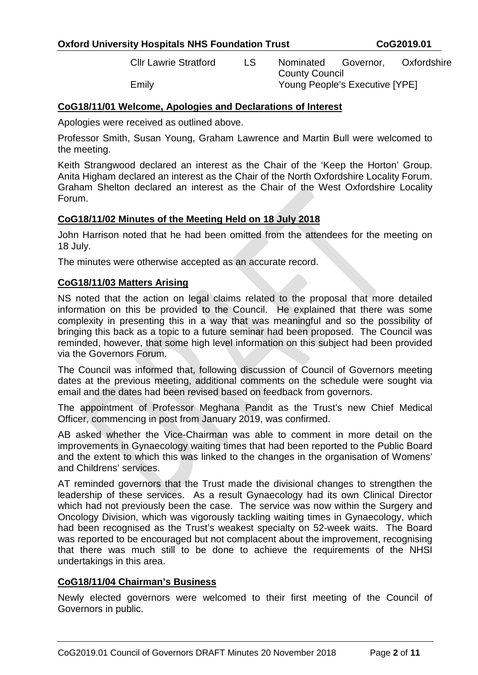Cllr Lawrie Stratford LS Nominated Governor, Oxfordshire County Council Emily Young People's Executive [YPE]

### **CoG18/11/01 Welcome, Apologies and Declarations of Interest**

Apologies were received as outlined above.

Professor Smith, Susan Young, Graham Lawrence and Martin Bull were welcomed to the meeting.

Keith Strangwood declared an interest as the Chair of the 'Keep the Horton' Group. Anita Higham declared an interest as the Chair of the North Oxfordshire Locality Forum. Graham Shelton declared an interest as the Chair of the West Oxfordshire Locality Forum.

#### **CoG18/11/02 Minutes of the Meeting Held on 18 July 2018**

John Harrison noted that he had been omitted from the attendees for the meeting on 18 July.

The minutes were otherwise accepted as an accurate record.

#### **CoG18/11/03 Matters Arising**

NS noted that the action on legal claims related to the proposal that more detailed information on this be provided to the Council. He explained that there was some complexity in presenting this in a way that was meaningful and so the possibility of bringing this back as a topic to a future seminar had been proposed. The Council was reminded, however, that some high level information on this subject had been provided via the Governors Forum.

The Council was informed that, following discussion of Council of Governors meeting dates at the previous meeting, additional comments on the schedule were sought via email and the dates had been revised based on feedback from governors.

The appointment of Professor Meghana Pandit as the Trust's new Chief Medical Officer, commencing in post from January 2019, was confirmed.

AB asked whether the Vice-Chairman was able to comment in more detail on the improvements in Gynaecology waiting times that had been reported to the Public Board and the extent to which this was linked to the changes in the organisation of Womens' and Childrens' services.

AT reminded governors that the Trust made the divisional changes to strengthen the leadership of these services. As a result Gynaecology had its own Clinical Director which had not previously been the case. The service was now within the Surgery and Oncology Division, which was vigorously tackling waiting times in Gynaecology, which had been recognised as the Trust's weakest specialty on 52-week waits. The Board was reported to be encouraged but not complacent about the improvement, recognising that there was much still to be done to achieve the requirements of the NHSI undertakings in this area.

#### **CoG18/11/04 Chairman's Business**

Newly elected governors were welcomed to their first meeting of the Council of Governors in public.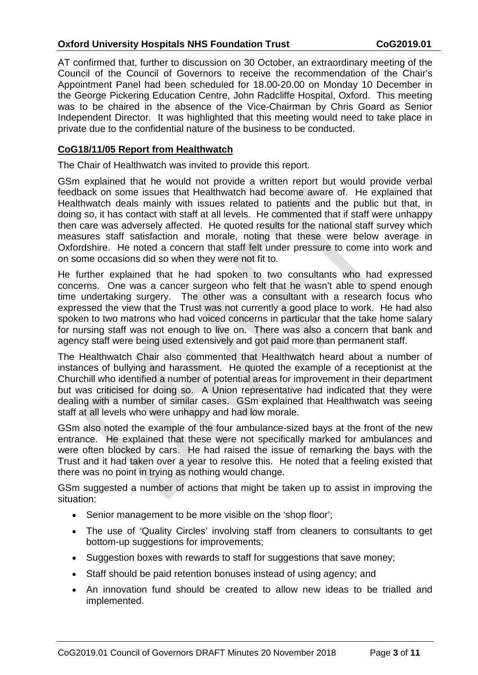AT confirmed that, further to discussion on 30 October, an extraordinary meeting of the Council of the Council of Governors to receive the recommendation of the Chair's Appointment Panel had been scheduled for 18.00-20.00 on Monday 10 December in the George Pickering Education Centre, John Radcliffe Hospital, Oxford. This meeting was to be chaired in the absence of the Vice-Chairman by Chris Goard as Senior Independent Director. It was highlighted that this meeting would need to take place in private due to the confidential nature of the business to be conducted.

# **CoG18/11/05 Report from Healthwatch**

The Chair of Healthwatch was invited to provide this report.

GSm explained that he would not provide a written report but would provide verbal feedback on some issues that Healthwatch had become aware of. He explained that Healthwatch deals mainly with issues related to patients and the public but that, in doing so, it has contact with staff at all levels. He commented that if staff were unhappy then care was adversely affected. He quoted results for the national staff survey which measures staff satisfaction and morale, noting that these were below average in Oxfordshire. He noted a concern that staff felt under pressure to come into work and on some occasions did so when they were not fit to.

He further explained that he had spoken to two consultants who had expressed concerns. One was a cancer surgeon who felt that he wasn't able to spend enough time undertaking surgery. The other was a consultant with a research focus who expressed the view that the Trust was not currently a good place to work. He had also spoken to two matrons who had voiced concerns in particular that the take home salary for nursing staff was not enough to live on. There was also a concern that bank and agency staff were being used extensively and got paid more than permanent staff.

The Healthwatch Chair also commented that Healthwatch heard about a number of instances of bullying and harassment. He quoted the example of a receptionist at the Churchill who identified a number of potential areas for improvement in their department but was criticised for doing so. A Union representative had indicated that they were dealing with a number of similar cases. GSm explained that Healthwatch was seeing staff at all levels who were unhappy and had low morale.

GSm also noted the example of the four ambulance-sized bays at the front of the new entrance. He explained that these were not specifically marked for ambulances and were often blocked by cars. He had raised the issue of remarking the bays with the Trust and it had taken over a year to resolve this. He noted that a feeling existed that there was no point in trying as nothing would change.

GSm suggested a number of actions that might be taken up to assist in improving the situation:

- Senior management to be more visible on the 'shop floor':
- The use of 'Quality Circles' involving staff from cleaners to consultants to get bottom-up suggestions for improvements;
- Suggestion boxes with rewards to staff for suggestions that save money:
- Staff should be paid retention bonuses instead of using agency; and
- An innovation fund should be created to allow new ideas to be trialled and implemented.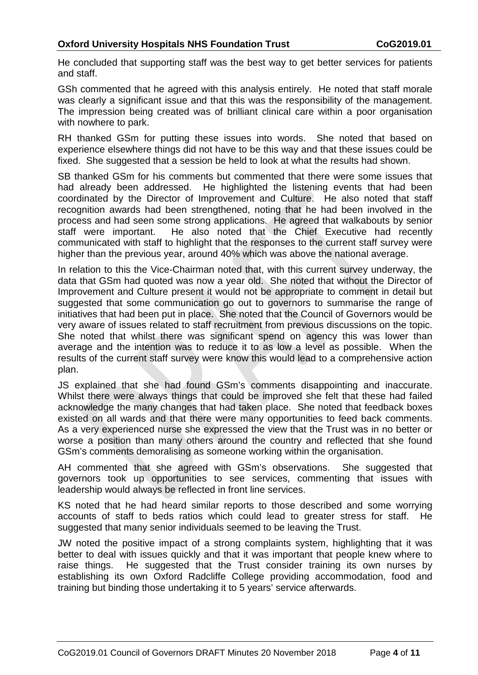He concluded that supporting staff was the best way to get better services for patients and staff.

GSh commented that he agreed with this analysis entirely. He noted that staff morale was clearly a significant issue and that this was the responsibility of the management. The impression being created was of brilliant clinical care within a poor organisation with nowhere to park.

RH thanked GSm for putting these issues into words. She noted that based on experience elsewhere things did not have to be this way and that these issues could be fixed. She suggested that a session be held to look at what the results had shown.

SB thanked GSm for his comments but commented that there were some issues that had already been addressed. He highlighted the listening events that had been coordinated by the Director of Improvement and Culture. He also noted that staff recognition awards had been strengthened, noting that he had been involved in the process and had seen some strong applications. He agreed that walkabouts by senior staff were important. He also noted that the Chief Executive had recently communicated with staff to highlight that the responses to the current staff survey were higher than the previous year, around 40% which was above the national average.

In relation to this the Vice-Chairman noted that, with this current survey underway, the data that GSm had quoted was now a year old. She noted that without the Director of Improvement and Culture present it would not be appropriate to comment in detail but suggested that some communication go out to governors to summarise the range of initiatives that had been put in place. She noted that the Council of Governors would be very aware of issues related to staff recruitment from previous discussions on the topic. She noted that whilst there was significant spend on agency this was lower than average and the intention was to reduce it to as low a level as possible. When the results of the current staff survey were know this would lead to a comprehensive action plan.

JS explained that she had found GSm's comments disappointing and inaccurate. Whilst there were always things that could be improved she felt that these had failed acknowledge the many changes that had taken place. She noted that feedback boxes existed on all wards and that there were many opportunities to feed back comments. As a very experienced nurse she expressed the view that the Trust was in no better or worse a position than many others around the country and reflected that she found GSm's comments demoralising as someone working within the organisation.

AH commented that she agreed with GSm's observations. She suggested that governors took up opportunities to see services, commenting that issues with leadership would always be reflected in front line services.

KS noted that he had heard similar reports to those described and some worrying accounts of staff to beds ratios which could lead to greater stress for staff. He suggested that many senior individuals seemed to be leaving the Trust.

JW noted the positive impact of a strong complaints system, highlighting that it was better to deal with issues quickly and that it was important that people knew where to raise things. He suggested that the Trust consider training its own nurses by establishing its own Oxford Radcliffe College providing accommodation, food and training but binding those undertaking it to 5 years' service afterwards.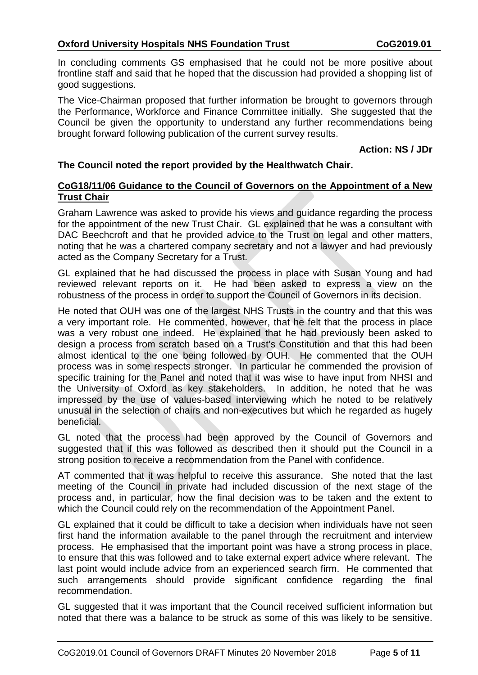In concluding comments GS emphasised that he could not be more positive about frontline staff and said that he hoped that the discussion had provided a shopping list of good suggestions.

The Vice-Chairman proposed that further information be brought to governors through the Performance, Workforce and Finance Committee initially. She suggested that the Council be given the opportunity to understand any further recommendations being brought forward following publication of the current survey results.

#### **Action: NS / JDr**

### **The Council noted the report provided by the Healthwatch Chair.**

#### **CoG18/11/06 Guidance to the Council of Governors on the Appointment of a New Trust Chair**

Graham Lawrence was asked to provide his views and guidance regarding the process for the appointment of the new Trust Chair. GL explained that he was a consultant with DAC Beechcroft and that he provided advice to the Trust on legal and other matters, noting that he was a chartered company secretary and not a lawyer and had previously acted as the Company Secretary for a Trust.

GL explained that he had discussed the process in place with Susan Young and had reviewed relevant reports on it. He had been asked to express a view on the robustness of the process in order to support the Council of Governors in its decision.

He noted that OUH was one of the largest NHS Trusts in the country and that this was a very important role. He commented, however, that he felt that the process in place was a very robust one indeed. He explained that he had previously been asked to design a process from scratch based on a Trust's Constitution and that this had been almost identical to the one being followed by OUH. He commented that the OUH process was in some respects stronger. In particular he commended the provision of specific training for the Panel and noted that it was wise to have input from NHSI and the University of Oxford as key stakeholders. In addition, he noted that he was impressed by the use of values-based interviewing which he noted to be relatively unusual in the selection of chairs and non-executives but which he regarded as hugely beneficial.

GL noted that the process had been approved by the Council of Governors and suggested that if this was followed as described then it should put the Council in a strong position to receive a recommendation from the Panel with confidence.

AT commented that it was helpful to receive this assurance. She noted that the last meeting of the Council in private had included discussion of the next stage of the process and, in particular, how the final decision was to be taken and the extent to which the Council could rely on the recommendation of the Appointment Panel.

GL explained that it could be difficult to take a decision when individuals have not seen first hand the information available to the panel through the recruitment and interview process. He emphasised that the important point was have a strong process in place, to ensure that this was followed and to take external expert advice where relevant. The last point would include advice from an experienced search firm. He commented that such arrangements should provide significant confidence regarding the final recommendation.

GL suggested that it was important that the Council received sufficient information but noted that there was a balance to be struck as some of this was likely to be sensitive.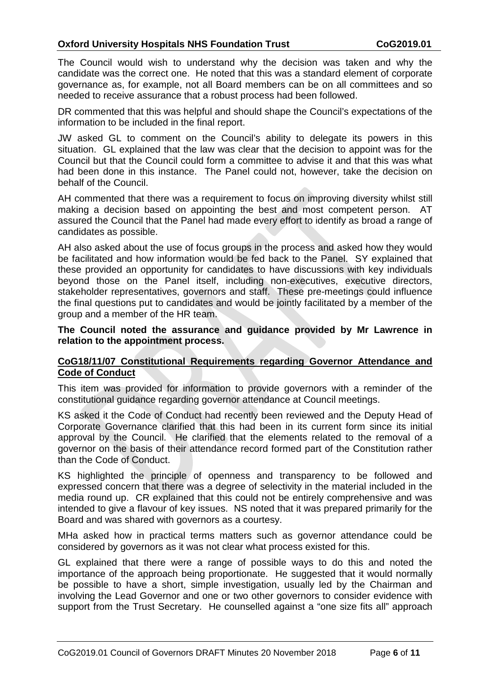The Council would wish to understand why the decision was taken and why the candidate was the correct one. He noted that this was a standard element of corporate governance as, for example, not all Board members can be on all committees and so needed to receive assurance that a robust process had been followed.

DR commented that this was helpful and should shape the Council's expectations of the information to be included in the final report.

JW asked GL to comment on the Council's ability to delegate its powers in this situation. GL explained that the law was clear that the decision to appoint was for the Council but that the Council could form a committee to advise it and that this was what had been done in this instance. The Panel could not, however, take the decision on behalf of the Council.

AH commented that there was a requirement to focus on improving diversity whilst still making a decision based on appointing the best and most competent person. AT assured the Council that the Panel had made every effort to identify as broad a range of candidates as possible.

AH also asked about the use of focus groups in the process and asked how they would be facilitated and how information would be fed back to the Panel. SY explained that these provided an opportunity for candidates to have discussions with key individuals beyond those on the Panel itself, including non-executives, executive directors, stakeholder representatives, governors and staff. These pre-meetings could influence the final questions put to candidates and would be jointly facilitated by a member of the group and a member of the HR team.

**The Council noted the assurance and guidance provided by Mr Lawrence in relation to the appointment process.**

### **CoG18/11/07 Constitutional Requirements regarding Governor Attendance and Code of Conduct**

This item was provided for information to provide governors with a reminder of the constitutional guidance regarding governor attendance at Council meetings.

KS asked it the Code of Conduct had recently been reviewed and the Deputy Head of Corporate Governance clarified that this had been in its current form since its initial approval by the Council. He clarified that the elements related to the removal of a governor on the basis of their attendance record formed part of the Constitution rather than the Code of Conduct.

KS highlighted the principle of openness and transparency to be followed and expressed concern that there was a degree of selectivity in the material included in the media round up. CR explained that this could not be entirely comprehensive and was intended to give a flavour of key issues. NS noted that it was prepared primarily for the Board and was shared with governors as a courtesy.

MHa asked how in practical terms matters such as governor attendance could be considered by governors as it was not clear what process existed for this.

GL explained that there were a range of possible ways to do this and noted the importance of the approach being proportionate. He suggested that it would normally be possible to have a short, simple investigation, usually led by the Chairman and involving the Lead Governor and one or two other governors to consider evidence with support from the Trust Secretary. He counselled against a "one size fits all" approach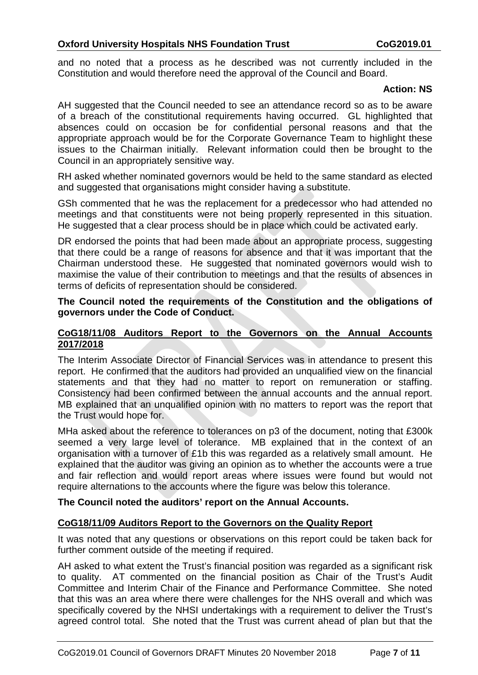and no noted that a process as he described was not currently included in the Constitution and would therefore need the approval of the Council and Board.

#### **Action: NS**

AH suggested that the Council needed to see an attendance record so as to be aware of a breach of the constitutional requirements having occurred. GL highlighted that absences could on occasion be for confidential personal reasons and that the appropriate approach would be for the Corporate Governance Team to highlight these issues to the Chairman initially. Relevant information could then be brought to the Council in an appropriately sensitive way.

RH asked whether nominated governors would be held to the same standard as elected and suggested that organisations might consider having a substitute.

GSh commented that he was the replacement for a predecessor who had attended no meetings and that constituents were not being properly represented in this situation. He suggested that a clear process should be in place which could be activated early.

DR endorsed the points that had been made about an appropriate process, suggesting that there could be a range of reasons for absence and that it was important that the Chairman understood these. He suggested that nominated governors would wish to maximise the value of their contribution to meetings and that the results of absences in terms of deficits of representation should be considered.

#### **The Council noted the requirements of the Constitution and the obligations of governors under the Code of Conduct.**

### **CoG18/11/08 Auditors Report to the Governors on the Annual Accounts 2017/2018**

The Interim Associate Director of Financial Services was in attendance to present this report. He confirmed that the auditors had provided an unqualified view on the financial statements and that they had no matter to report on remuneration or staffing. Consistency had been confirmed between the annual accounts and the annual report. MB explained that an unqualified opinion with no matters to report was the report that the Trust would hope for.

MHa asked about the reference to tolerances on p3 of the document, noting that £300k seemed a very large level of tolerance. MB explained that in the context of an organisation with a turnover of £1b this was regarded as a relatively small amount. He explained that the auditor was giving an opinion as to whether the accounts were a true and fair reflection and would report areas where issues were found but would not require alternations to the accounts where the figure was below this tolerance.

#### **The Council noted the auditors' report on the Annual Accounts.**

## **CoG18/11/09 Auditors Report to the Governors on the Quality Report**

It was noted that any questions or observations on this report could be taken back for further comment outside of the meeting if required.

AH asked to what extent the Trust's financial position was regarded as a significant risk to quality. AT commented on the financial position as Chair of the Trust's Audit Committee and Interim Chair of the Finance and Performance Committee. She noted that this was an area where there were challenges for the NHS overall and which was specifically covered by the NHSI undertakings with a requirement to deliver the Trust's agreed control total. She noted that the Trust was current ahead of plan but that the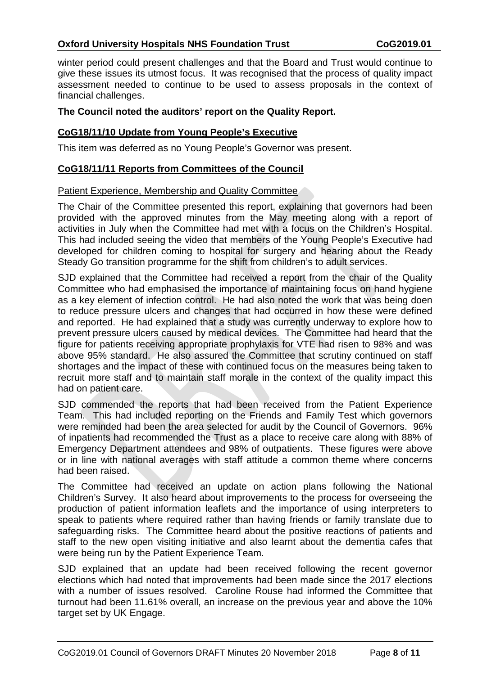winter period could present challenges and that the Board and Trust would continue to give these issues its utmost focus. It was recognised that the process of quality impact assessment needed to continue to be used to assess proposals in the context of financial challenges.

#### **The Council noted the auditors' report on the Quality Report.**

#### **CoG18/11/10 Update from Young People's Executive**

This item was deferred as no Young People's Governor was present.

#### **CoG18/11/11 Reports from Committees of the Council**

#### Patient Experience, Membership and Quality Committee

The Chair of the Committee presented this report, explaining that governors had been provided with the approved minutes from the May meeting along with a report of activities in July when the Committee had met with a focus on the Children's Hospital. This had included seeing the video that members of the Young People's Executive had developed for children coming to hospital for surgery and hearing about the Ready Steady Go transition programme for the shift from children's to adult services.

SJD explained that the Committee had received a report from the chair of the Quality Committee who had emphasised the importance of maintaining focus on hand hygiene as a key element of infection control. He had also noted the work that was being doen to reduce pressure ulcers and changes that had occurred in how these were defined and reported. He had explained that a study was currently underway to explore how to prevent pressure ulcers caused by medical devices. The Committee had heard that the figure for patients receiving appropriate prophylaxis for VTE had risen to 98% and was above 95% standard. He also assured the Committee that scrutiny continued on staff shortages and the impact of these with continued focus on the measures being taken to recruit more staff and to maintain staff morale in the context of the quality impact this had on patient care.

SJD commended the reports that had been received from the Patient Experience Team. This had included reporting on the Friends and Family Test which governors were reminded had been the area selected for audit by the Council of Governors. 96% of inpatients had recommended the Trust as a place to receive care along with 88% of Emergency Department attendees and 98% of outpatients. These figures were above or in line with national averages with staff attitude a common theme where concerns had been raised.

The Committee had received an update on action plans following the National Children's Survey. It also heard about improvements to the process for overseeing the production of patient information leaflets and the importance of using interpreters to speak to patients where required rather than having friends or family translate due to safeguarding risks. The Committee heard about the positive reactions of patients and staff to the new open visiting initiative and also learnt about the dementia cafes that were being run by the Patient Experience Team.

SJD explained that an update had been received following the recent governor elections which had noted that improvements had been made since the 2017 elections with a number of issues resolved. Caroline Rouse had informed the Committee that turnout had been 11.61% overall, an increase on the previous year and above the 10% target set by UK Engage.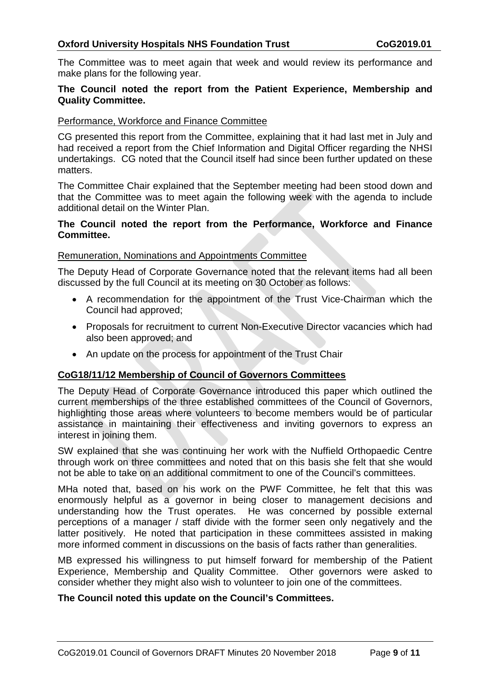The Committee was to meet again that week and would review its performance and make plans for the following year.

### **The Council noted the report from the Patient Experience, Membership and Quality Committee.**

### Performance, Workforce and Finance Committee

CG presented this report from the Committee, explaining that it had last met in July and had received a report from the Chief Information and Digital Officer regarding the NHSI undertakings. CG noted that the Council itself had since been further updated on these matters.

The Committee Chair explained that the September meeting had been stood down and that the Committee was to meet again the following week with the agenda to include additional detail on the Winter Plan.

#### **The Council noted the report from the Performance, Workforce and Finance Committee.**

#### Remuneration, Nominations and Appointments Committee

The Deputy Head of Corporate Governance noted that the relevant items had all been discussed by the full Council at its meeting on 30 October as follows:

- A recommendation for the appointment of the Trust Vice-Chairman which the Council had approved;
- Proposals for recruitment to current Non-Executive Director vacancies which had also been approved; and
- An update on the process for appointment of the Trust Chair

## **CoG18/11/12 Membership of Council of Governors Committees**

The Deputy Head of Corporate Governance introduced this paper which outlined the current memberships of the three established committees of the Council of Governors, highlighting those areas where volunteers to become members would be of particular assistance in maintaining their effectiveness and inviting governors to express an interest in joining them.

SW explained that she was continuing her work with the Nuffield Orthopaedic Centre through work on three committees and noted that on this basis she felt that she would not be able to take on an additional commitment to one of the Council's committees.

MHa noted that, based on his work on the PWF Committee, he felt that this was enormously helpful as a governor in being closer to management decisions and understanding how the Trust operates. He was concerned by possible external perceptions of a manager / staff divide with the former seen only negatively and the latter positively. He noted that participation in these committees assisted in making more informed comment in discussions on the basis of facts rather than generalities.

MB expressed his willingness to put himself forward for membership of the Patient Experience, Membership and Quality Committee. Other governors were asked to consider whether they might also wish to volunteer to join one of the committees.

#### **The Council noted this update on the Council's Committees.**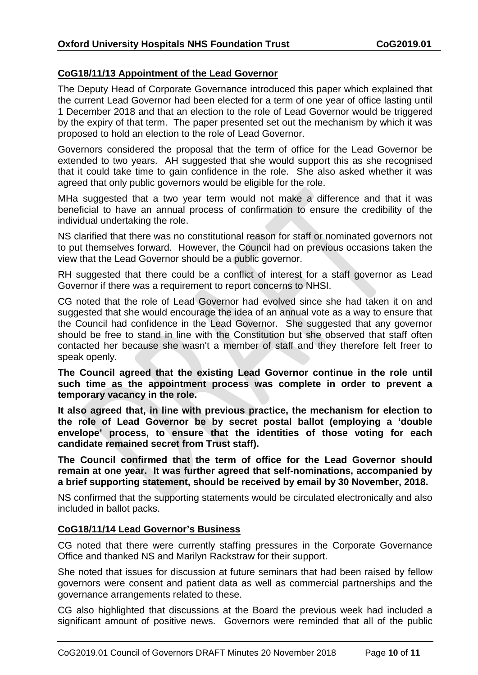## **CoG18/11/13 Appointment of the Lead Governor**

The Deputy Head of Corporate Governance introduced this paper which explained that the current Lead Governor had been elected for a term of one year of office lasting until 1 December 2018 and that an election to the role of Lead Governor would be triggered by the expiry of that term. The paper presented set out the mechanism by which it was proposed to hold an election to the role of Lead Governor.

Governors considered the proposal that the term of office for the Lead Governor be extended to two years. AH suggested that she would support this as she recognised that it could take time to gain confidence in the role. She also asked whether it was agreed that only public governors would be eligible for the role.

MHa suggested that a two year term would not make a difference and that it was beneficial to have an annual process of confirmation to ensure the credibility of the individual undertaking the role.

NS clarified that there was no constitutional reason for staff or nominated governors not to put themselves forward. However, the Council had on previous occasions taken the view that the Lead Governor should be a public governor.

RH suggested that there could be a conflict of interest for a staff governor as Lead Governor if there was a requirement to report concerns to NHSI.

CG noted that the role of Lead Governor had evolved since she had taken it on and suggested that she would encourage the idea of an annual vote as a way to ensure that the Council had confidence in the Lead Governor. She suggested that any governor should be free to stand in line with the Constitution but she observed that staff often contacted her because she wasn't a member of staff and they therefore felt freer to speak openly.

**The Council agreed that the existing Lead Governor continue in the role until such time as the appointment process was complete in order to prevent a temporary vacancy in the role.**

**It also agreed that, in line with previous practice, the mechanism for election to the role of Lead Governor be by secret postal ballot (employing a 'double envelope' process, to ensure that the identities of those voting for each candidate remained secret from Trust staff).**

**The Council confirmed that the term of office for the Lead Governor should remain at one year. It was further agreed that self-nominations, accompanied by a brief supporting statement, should be received by email by 30 November, 2018.**

NS confirmed that the supporting statements would be circulated electronically and also included in ballot packs.

#### **CoG18/11/14 Lead Governor's Business**

CG noted that there were currently staffing pressures in the Corporate Governance Office and thanked NS and Marilyn Rackstraw for their support.

She noted that issues for discussion at future seminars that had been raised by fellow governors were consent and patient data as well as commercial partnerships and the governance arrangements related to these.

CG also highlighted that discussions at the Board the previous week had included a significant amount of positive news. Governors were reminded that all of the public